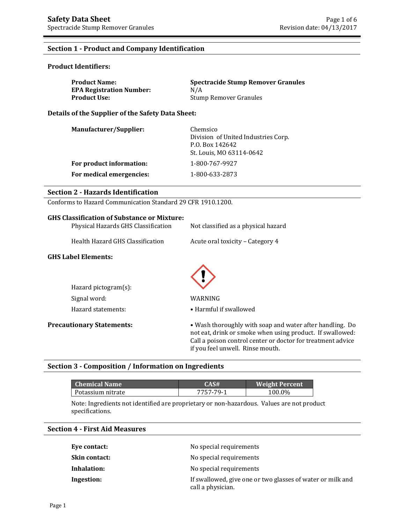# **Section 1 - Product and Company Identification**

### **Product Identifiers:**

| <b>Product Name:</b>            | Spectracide Stump Remover Granules |
|---------------------------------|------------------------------------|
| <b>EPA Registration Number:</b> | N/A                                |
| Product Use: \                  | Stump Remover Granules             |

**Details of the Supplier of the Safety Data Sheet:**

| Manufacturer/Supplier:   | Chemsico<br>Division of United Industries Corp.<br>P.O. Box 142642<br>St. Louis, MO 63114-0642 |
|--------------------------|------------------------------------------------------------------------------------------------|
| For product information: | 1-800-767-9927                                                                                 |
| For medical emergencies: | 1-800-633-2873                                                                                 |

# **Section 2 - Hazards Identification**

Conforms to Hazard Communication Standard 29 CFR 1910.1200.

# **GHS Classification of Substance or Mixture:**

| Physical Hazards GHS Classification | Not classified as a physical hazard |
|-------------------------------------|-------------------------------------|
| Health Hazard GHS Classification    | Acute oral toxicity - Category 4    |
| <b>GHS Label Elements:</b>          |                                     |
|                                     |                                     |
| Hazard pictogram $(s)$ :            |                                     |
| Signal word:                        | WARNING                             |
| Hazard statements:                  | • Harmful if swallowed              |

**Precautionary Statements:** • Wash thoroughly with soap and water after handling. Do not eat, drink or smoke when using product. If swallowed: Call a poison control center or doctor for treatment advice

if you feel unwell. Rinse mouth.

## **Section 3 - Composition / Information on Ingredients**

| <b>Chemical Name</b> | CAS#      | <b>Weight Percent</b> |
|----------------------|-----------|-----------------------|
| Potassium nitrate    | 7757-79-1 | 100.0%                |

Note: Ingredients not identified are proprietary or non-hazardous. Values are not product specifications.

# **Section 4 - First Aid Measures**

| Eye contact:         | No special requirements                                                         |
|----------------------|---------------------------------------------------------------------------------|
| <b>Skin contact:</b> | No special requirements                                                         |
| Inhalation:          | No special requirements                                                         |
| Ingestion:           | If swallowed, give one or two glasses of water or milk and<br>call a physician. |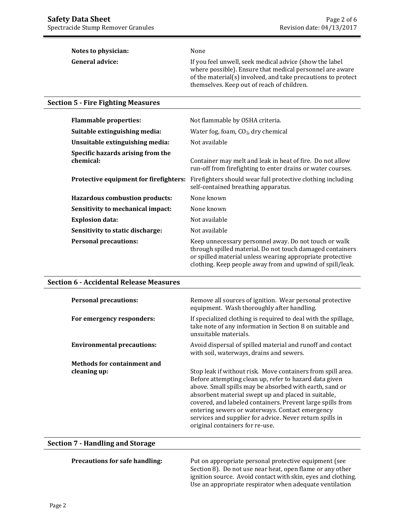| Notes to physician:    | None                                                                                                                                                                                                                              |
|------------------------|-----------------------------------------------------------------------------------------------------------------------------------------------------------------------------------------------------------------------------------|
| <b>General advice:</b> | If you feel unwell, seek medical advice (show the label<br>where possible). Ensure that medical personnel are aware<br>of the material(s) involved, and take precautions to protect<br>themselves. Keep out of reach of children. |

# **Section 5 - Fire Fighting Measures**

| <b>Flammable properties:</b>                   | Not flammable by OSHA criteria.                                                                                                                                                                                                              |
|------------------------------------------------|----------------------------------------------------------------------------------------------------------------------------------------------------------------------------------------------------------------------------------------------|
| Suitable extinguishing media:                  | Water fog, foam, $CO2$ , dry chemical                                                                                                                                                                                                        |
| Unsuitable extinguishing media:                | Not available                                                                                                                                                                                                                                |
| Specific hazards arising from the<br>chemical: | Container may melt and leak in heat of fire. Do not allow<br>run-off from firefighting to enter drains or water courses.                                                                                                                     |
| Protective equipment for firefighters:         | Firefighters should wear full protective clothing including<br>self-contained breathing apparatus.                                                                                                                                           |
| Hazardous combustion products:                 | None known                                                                                                                                                                                                                                   |
| Sensitivity to mechanical impact:              | None known                                                                                                                                                                                                                                   |
| <b>Explosion data:</b>                         | Not available                                                                                                                                                                                                                                |
| Sensitivity to static discharge:               | Not available                                                                                                                                                                                                                                |
| <b>Personal precautions:</b>                   | Keep unnecessary personnel away. Do not touch or walk<br>through spilled material. Do not touch damaged containers<br>or spilled material unless wearing appropriate protective<br>clothing. Keep people away from and upwind of spill/leak. |

### **Section 6 - Accidental Release Measures**

| <b>Personal precautions:</b>      | Remove all sources of ignition. Wear personal protective<br>equipment. Wash thoroughly after handling.                                                                                                                                                                                                                                                                                                                                                  |
|-----------------------------------|---------------------------------------------------------------------------------------------------------------------------------------------------------------------------------------------------------------------------------------------------------------------------------------------------------------------------------------------------------------------------------------------------------------------------------------------------------|
| For emergency responders:         | If specialized clothing is required to deal with the spillage,<br>take note of any information in Section 8 on suitable and<br>unsuitable materials.                                                                                                                                                                                                                                                                                                    |
| <b>Environmental precautions:</b> | Avoid dispersal of spilled material and runoff and contact<br>with soil, waterways, drains and sewers.                                                                                                                                                                                                                                                                                                                                                  |
| Methods for containment and       |                                                                                                                                                                                                                                                                                                                                                                                                                                                         |
| cleaning up:                      | Stop leak if without risk. Move containers from spill area.<br>Before attempting clean up, refer to hazard data given<br>above. Small spills may be absorbed with earth, sand or<br>absorbent material swept up and placed in suitable,<br>covered, and labeled containers. Prevent large spills from<br>entering sewers or waterways. Contact emergency<br>services and supplier for advice. Never return spills in<br>original containers for re-use. |

# **Section 7 - Handling and Storage**

**Precautions for safe handling:** Put on appropriate personal protective equipment (see Section 8). Do not use near heat, open flame or any other ignition source. Avoid contact with skin, eyes and clothing. Use an appropriate respirator when adequate ventilation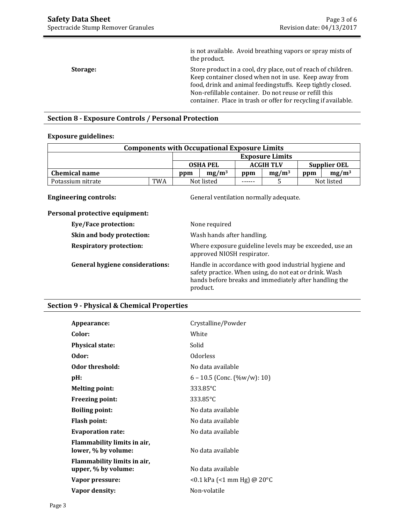is not available. Avoid breathing vapors or spray mists of the product. **Storage:** Store product in a cool, dry place, out of reach of children. Keep container closed when not in use. Keep away from food, drink and animal feedingstuffs. Keep tightly closed. Non-refillable container. Do not reuse or refill this container. Place in trash or offer for recycling if available.

# **Section 8 - Exposure Controls / Personal Protection**

### **Exposure guidelines:**

| <b>Components with Occupational Exposure Limits</b> |     |                 |  |                  |                        |                     |          |
|-----------------------------------------------------|-----|-----------------|--|------------------|------------------------|---------------------|----------|
|                                                     |     |                 |  |                  | <b>Exposure Limits</b> |                     |          |
|                                                     |     | <b>OSHA PEL</b> |  | <b>ACGIH TLV</b> |                        | <b>Supplier OEL</b> |          |
| <b>Chemical name</b>                                |     | $mg/m^3$<br>ppm |  | ppm              | mg/m <sup>3</sup>      | ppm                 | $mg/m^3$ |
| Potassium nitrate                                   | TWA | Not listed      |  | ------           |                        | Not listed          |          |

**Engineering controls:** General ventilation normally adequate.

| Personal protective equipment: |  |
|--------------------------------|--|
|                                |  |

| None required                                                                                                                                                                         |
|---------------------------------------------------------------------------------------------------------------------------------------------------------------------------------------|
| Wash hands after handling.                                                                                                                                                            |
| Where exposure guideline levels may be exceeded, use an<br>approved NIOSH respirator.                                                                                                 |
| Handle in accordance with good industrial hygiene and<br>safety practice. When using, do not eat or drink. Wash<br>hands before breaks and immediately after handling the<br>product. |
|                                                                                                                                                                                       |

### **Section 9 - Physical & Chemical Properties**

| Appearance:                                        | Crystalline/Powder                    |
|----------------------------------------------------|---------------------------------------|
| Color:                                             | White                                 |
| <b>Physical state:</b>                             | Solid                                 |
| Odor:                                              | <b>Odorless</b>                       |
| Odor threshold:                                    | No data available                     |
| pH:                                                | $6 - 10.5$ (Conc. $(\%w/w)$ : 10)     |
| <b>Melting point:</b>                              | 333.85°C                              |
| <b>Freezing point:</b>                             | 333.85°C                              |
| <b>Boiling point:</b>                              | No data available                     |
| <b>Flash point:</b>                                | No data available                     |
| <b>Evaporation rate:</b>                           | No data available                     |
| Flammability limits in air,<br>lower, % by volume: | No data available                     |
| Flammability limits in air,<br>upper, % by volume: | No data available                     |
| Vapor pressure:                                    | <0.1 kPa (<1 mm Hg) @ 20 $^{\circ}$ C |
| Vapor density:                                     | Non-volatile                          |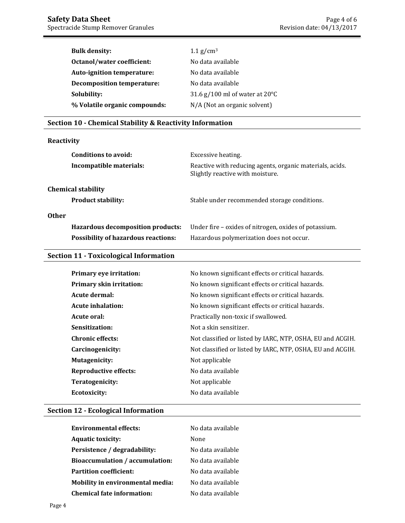| <b>Bulk density:</b>              | $1.1$ g/cm <sup>3</sup>                  |
|-----------------------------------|------------------------------------------|
| Octanol/water coefficient:        | No data available                        |
| Auto-ignition temperature:        | No data available                        |
| <b>Decomposition temperature:</b> | No data available                        |
| Solubility:                       | 31.6 g/100 ml of water at $20^{\circ}$ C |
| % Volatile organic compounds:     | N/A (Not an organic solvent)             |

# **Section 10 - Chemical Stability & Reactivity Information**

# **Reactivity**

| Conditions to avoid:                       | Excessive heating.                                                                           |
|--------------------------------------------|----------------------------------------------------------------------------------------------|
| Incompatible materials:                    | Reactive with reducing agents, organic materials, acids.<br>Slightly reactive with moisture. |
| <b>Chemical stability</b>                  |                                                                                              |
| <b>Product stability:</b>                  | Stable under recommended storage conditions.                                                 |
| <b>Other</b>                               |                                                                                              |
| Hazardous decomposition products:          | Under fire – oxides of nitrogen, oxides of potassium.                                        |
| <b>Possibility of hazardous reactions:</b> | Hazardous polymerization does not occur.                                                     |
| Costian 11 Toricalcated Information        |                                                                                              |

# **Section 11 - Toxicological Information**

| <b>Primary eye irritation:</b> | No known significant effects or critical hazards.          |
|--------------------------------|------------------------------------------------------------|
| Primary skin irritation:       | No known significant effects or critical hazards.          |
| Acute dermal:                  | No known significant effects or critical hazards.          |
| <b>Acute inhalation:</b>       | No known significant effects or critical hazards.          |
| Acute oral:                    | Practically non-toxic if swallowed.                        |
| Sensitization:                 | Not a skin sensitizer.                                     |
| <b>Chronic effects:</b>        | Not classified or listed by IARC, NTP, OSHA, EU and ACGIH. |
| Carcinogenicity:               | Not classified or listed by IARC, NTP, OSHA, EU and ACGIH. |
| <b>Mutagenicity:</b>           | Not applicable                                             |
| <b>Reproductive effects:</b>   | No data available                                          |
| Teratogenicity:                | Not applicable                                             |
| Ecotoxicity:                   | No data available                                          |

# **Section 12 - Ecological Information**

| <b>Environmental effects:</b>     | No data available |
|-----------------------------------|-------------------|
| <b>Aquatic toxicity:</b>          | None              |
| Persistence / degradability:      | No data available |
| Bioaccumulation / accumulation:   | No data available |
| <b>Partition coefficient:</b>     | No data available |
| Mobility in environmental media:  | No data available |
| <b>Chemical fate information:</b> | No data available |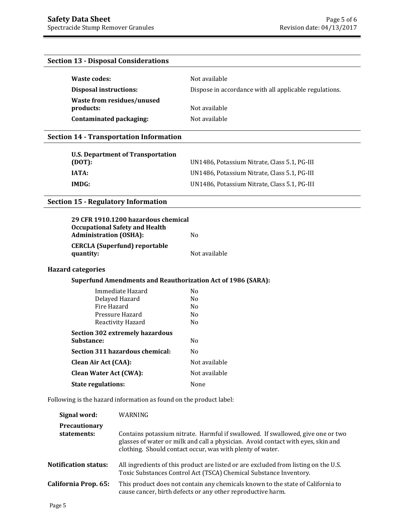# **Section 13 - Disposal Considerations**

| Waste codes:                  | Not available                                          |
|-------------------------------|--------------------------------------------------------|
| <b>Disposal instructions:</b> | Dispose in accordance with all applicable regulations. |
| Waste from residues/unused    |                                                        |
| products:                     | Not available                                          |
| Contaminated packaging:       | Not available                                          |

# **Section 14 - Transportation Information**

| U.S. Department of Transportation<br>(DOT): | UN1486, Potassium Nitrate, Class 5.1, PG-III |
|---------------------------------------------|----------------------------------------------|
| IATA:                                       | UN1486, Potassium Nitrate, Class 5.1, PG-III |
| IMDG:                                       | UN1486, Potassium Nitrate, Class 5.1, PG-III |

# **Section 15 - Regulatory Information**

| 29 CFR 1910.1200 hazardous chemical   |               |
|---------------------------------------|---------------|
| <b>Occupational Safety and Health</b> |               |
| <b>Administration (OSHA):</b>         | N٥            |
| <b>CERCLA (Superfund) reportable</b>  |               |
| quantity:                             | Not available |

# **Hazard categories**

# **Superfund Amendments and Reauthorization Act of 1986 (SARA):**

| Immediate Hazard                | N <sub>0</sub> |
|---------------------------------|----------------|
| Delayed Hazard                  | N <sub>0</sub> |
| Fire Hazard                     | No             |
| Pressure Hazard                 | No             |
| Reactivity Hazard               | N <sub>0</sub> |
| Section 302 extremely hazardous |                |
| <b>Substance:</b>               | No             |
| Section 311 hazardous chemical: | No             |
| <b>Clean Air Act (CAA):</b>     | Not available  |
| <b>Clean Water Act (CWA):</b>   | Not available  |
| <b>State regulations:</b>       | None           |

Following is the hazard information as found on the product label:

| Signal word:                 | WARNING                                                                                                                                                                                                                          |
|------------------------------|----------------------------------------------------------------------------------------------------------------------------------------------------------------------------------------------------------------------------------|
| Precautionary<br>statements: | Contains potassium nitrate. Harmful if swallowed. If swallowed, give one or two<br>glasses of water or milk and call a physician. Avoid contact with eyes, skin and<br>clothing. Should contact occur, was with plenty of water. |
| <b>Notification status:</b>  | All ingredients of this product are listed or are excluded from listing on the U.S.<br>Toxic Substances Control Act (TSCA) Chemical Substance Inventory.                                                                         |
| California Prop. 65:         | This product does not contain any chemicals known to the state of California to<br>cause cancer, birth defects or any other reproductive harm.                                                                                   |